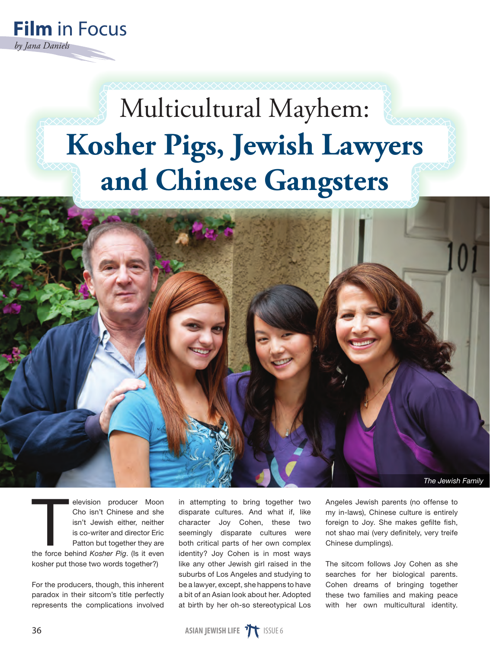

## Multicultural Mayhem: **Kosher Pigs, Jewish Lawyers and Chinese Gangsters**



elevision producer Moon<br>Cho isn't Chinese and she<br>isn't Jewish either, neither<br>is co-writer and director Eric<br>Patton but together they are<br>the force behind *Kosher Pig*. (Is it even elevision producer Moon Cho isn't Chinese and she isn't Jewish either, neither is co-writer and director Eric Patton but together they are kosher put those two words together?)

For the producers, though, this inherent paradox in their sitcom's title perfectly represents the complications involved

in attempting to bring together two disparate cultures. And what if, like character Joy Cohen, these two seemingly disparate cultures were both critical parts of her own complex identity? Joy Cohen is in most ways like any other Jewish girl raised in the suburbs of Los Angeles and studying to be a lawyer, except, she happens to have a bit of an Asian look about her. Adopted at birth by her oh-so stereotypical Los

Angeles Jewish parents (no offense to my in-laws), Chinese culture is entirely foreign to Joy. She makes gefilte fish, not shao mai (very definitely, very treife Chinese dumplings).

The sitcom follows Joy Cohen as she searches for her biological parents. Cohen dreams of bringing together these two families and making peace with her own multicultural identity.